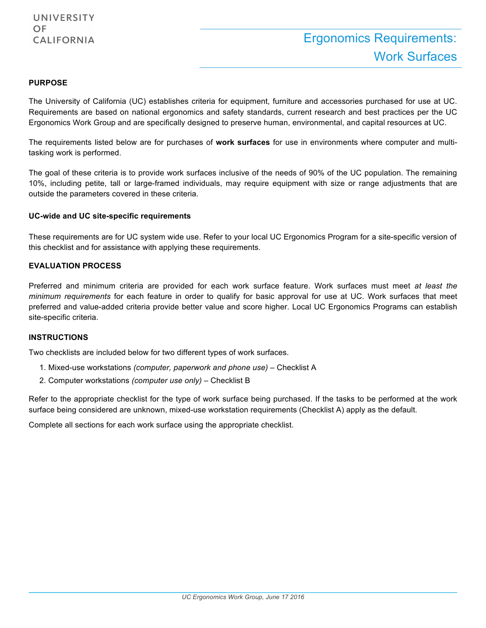#### **PURPOSE**

The University of California (UC) establishes criteria for equipment, furniture and accessories purchased for use at UC. Requirements are based on national ergonomics and safety standards, current research and best practices per the UC Ergonomics Work Group and are specifically designed to preserve human, environmental, and capital resources at UC.

The requirements listed below are for purchases of **work surfaces** for use in environments where computer and multitasking work is performed.

The goal of these criteria is to provide work surfaces inclusive of the needs of 90% of the UC population. The remaining 10%, including petite, tall or large-framed individuals, may require equipment with size or range adjustments that are outside the parameters covered in these criteria.

#### **UC-wide and UC site-specific requirements**

These requirements are for UC system wide use. Refer to your local UC Ergonomics Program for a site-specific version of this checklist and for assistance with applying these requirements.

#### **EVALUATION PROCESS**

Preferred and minimum criteria are provided for each work surface feature. Work surfaces must meet *at least the minimum requirements* for each feature in order to qualify for basic approval for use at UC. Work surfaces that meet preferred and value-added criteria provide better value and score higher. Local UC Ergonomics Programs can establish site-specific criteria.

#### **INSTRUCTIONS**

Two checklists are included below for two different types of work surfaces.

- 1. Mixed-use workstations *(computer, paperwork and phone use) –* Checklist A
- 2. Computer workstations *(computer use only) –* Checklist B

Refer to the appropriate checklist for the type of work surface being purchased. If the tasks to be performed at the work surface being considered are unknown, mixed-use workstation requirements (Checklist A) apply as the default.

Complete all sections for each work surface using the appropriate checklist.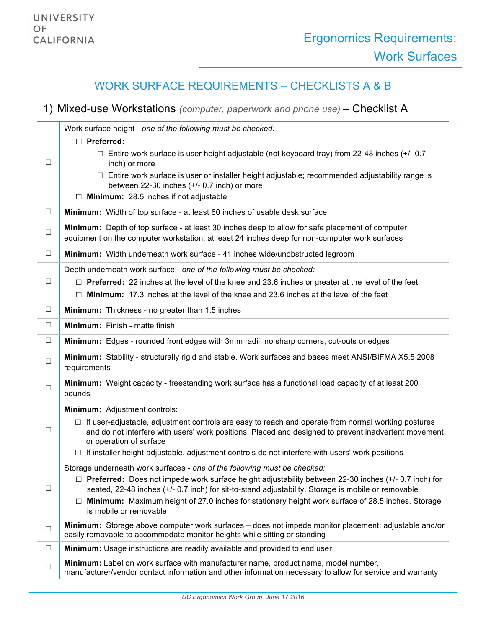## WORK SURFACE REQUIREMENTS – CHECKLISTS A & B

### 1) Mixed-use Workstations *(computer, paperwork and phone use)* – Checklist A

|        | Work surface height - one of the following must be checked:                                                                                                                                                                                  |
|--------|----------------------------------------------------------------------------------------------------------------------------------------------------------------------------------------------------------------------------------------------|
|        | $\Box$ Preferred:                                                                                                                                                                                                                            |
| $\Box$ | $\Box$ Entire work surface is user height adjustable (not keyboard tray) from 22-48 inches (+/- 0.7<br>inch) or more                                                                                                                         |
|        | $\Box$ Entire work surface is user or installer height adjustable; recommended adjustability range is<br>between 22-30 inches (+/- 0.7 inch) or more                                                                                         |
|        | $\Box$ Minimum: 28.5 inches if not adjustable                                                                                                                                                                                                |
| $\Box$ | Minimum: Width of top surface - at least 60 inches of usable desk surface                                                                                                                                                                    |
| $\Box$ | Minimum: Depth of top surface - at least 30 inches deep to allow for safe placement of computer<br>equipment on the computer workstation; at least 24 inches deep for non-computer work surfaces                                             |
| $\Box$ | Minimum: Width underneath work surface - 41 inches wide/unobstructed legroom                                                                                                                                                                 |
|        | Depth underneath work surface - one of the following must be checked:                                                                                                                                                                        |
| $\Box$ | $\Box$ Preferred: 22 inches at the level of the knee and 23.6 inches or greater at the level of the feet                                                                                                                                     |
|        | $\Box$ Minimum: 17.3 inches at the level of the knee and 23.6 inches at the level of the feet                                                                                                                                                |
| $\Box$ | Minimum: Thickness - no greater than 1.5 inches                                                                                                                                                                                              |
| $\Box$ | Minimum: Finish - matte finish                                                                                                                                                                                                               |
| $\Box$ | Minimum: Edges - rounded front edges with 3mm radii; no sharp corners, cut-outs or edges                                                                                                                                                     |
| $\Box$ | Minimum: Stability - structurally rigid and stable. Work surfaces and bases meet ANSI/BIFMA X5.5 2008<br>requirements                                                                                                                        |
| $\Box$ | Minimum: Weight capacity - freestanding work surface has a functional load capacity of at least 200<br>pounds                                                                                                                                |
|        | Minimum: Adjustment controls:                                                                                                                                                                                                                |
| $\Box$ | $\Box$ If user-adjustable, adjustment controls are easy to reach and operate from normal working postures<br>and do not interfere with users' work positions. Placed and designed to prevent inadvertent movement<br>or operation of surface |
|        | $\Box$ If installer height-adjustable, adjustment controls do not interfere with users' work positions                                                                                                                                       |
|        | Storage underneath work surfaces - one of the following must be checked:                                                                                                                                                                     |
| $\Box$ | $\Box$ Preferred: Does not impede work surface height adjustability between 22-30 inches (+/- 0.7 inch) for                                                                                                                                  |
|        | seated, 22-48 inches (+/- 0.7 inch) for sit-to-stand adjustability. Storage is mobile or removable<br>Minimum: Maximum height of 27.0 inches for stationary height work surface of 28.5 inches. Storage                                      |
|        | is mobile or removable                                                                                                                                                                                                                       |
| $\Box$ | Minimum: Storage above computer work surfaces - does not impede monitor placement; adjustable and/or<br>easily removable to accommodate monitor heights while sitting or standing                                                            |
| $\Box$ | Minimum: Usage instructions are readily available and provided to end user                                                                                                                                                                   |
| $\Box$ | Minimum: Label on work surface with manufacturer name, product name, model number,<br>manufacturer/vendor contact information and other information necessary to allow for service and warranty                                              |